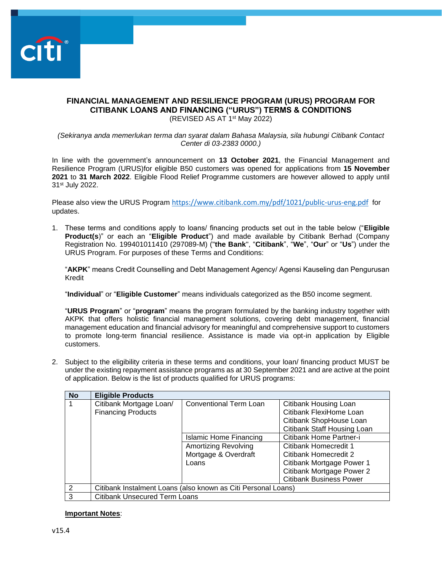

## **FINANCIAL MANAGEMENT AND RESILIENCE PROGRAM (URUS) PROGRAM FOR CITIBANK LOANS AND FINANCING ("URUS") TERMS & CONDITIONS** (REVISED AS AT 1<sup>st</sup> May 2022)

*(Sekiranya anda memerlukan terma dan syarat dalam Bahasa Malaysia, sila hubungi Citibank Contact Center di 03-2383 0000.)*

In line with the government's announcement on **13 October 2021**, the Financial Management and Resilience Program (URUS)for eligible B50 customers was opened for applications from **15 November 2021** to **31 March 2022**. Eligible Flood Relief Programme customers are however allowed to apply until 31st July 2022.

Please also view the URUS Program <https://www.citibank.com.my/pdf/1021/public-urus-eng.pdf> for updates.

1. These terms and conditions apply to loans/ financing products set out in the table below ("**Eligible Product(s**)" or each an "**Eligible Product**") and made available by Citibank Berhad (Company Registration No. 199401011410 (297089-M) ("**the Bank**", "**Citibank**", "**We**", "**Our**" or "**Us**") under the URUS Program. For purposes of these Terms and Conditions:

"**AKPK**" means Credit Counselling and Debt Management Agency/ Agensi Kauseling dan Pengurusan Kredit

"**Individual**" or "**Eligible Customer**" means individuals categorized as the B50 income segment.

"**URUS Program**" or "**program**" means the program formulated by the banking industry together with AKPK that offers holistic financial management solutions, covering debt management, financial management education and financial advisory for meaningful and comprehensive support to customers to promote long-term financial resilience. Assistance is made via opt-in application by Eligible customers.

2. Subject to the eligibility criteria in these terms and conditions, your loan/ financing product MUST be under the existing repayment assistance programs as at 30 September 2021 and are active at the point of application. Below is the list of products qualified for URUS programs:

| <b>No</b>     | <b>Eligible Products</b>                                      |                               |                                |
|---------------|---------------------------------------------------------------|-------------------------------|--------------------------------|
|               | Citibank Mortgage Loan/                                       | <b>Conventional Term Loan</b> | Citibank Housing Loan          |
|               | <b>Financing Products</b>                                     |                               | Citibank FlexiHome Loan        |
|               |                                                               |                               | Citibank ShopHouse Loan        |
|               |                                                               |                               | Citibank Staff Housing Loan    |
|               |                                                               | <b>Islamic Home Financing</b> | Citibank Home Partner-i        |
|               |                                                               | <b>Amortizing Revolving</b>   | Citibank Homecredit 1          |
|               |                                                               | Mortgage & Overdraft          | Citibank Homecredit 2          |
|               |                                                               | Loans                         | Citibank Mortgage Power 1      |
|               |                                                               |                               | Citibank Mortgage Power 2      |
|               |                                                               |                               | <b>Citibank Business Power</b> |
| $\mathcal{P}$ | Citibank Instalment Loans (also known as Citi Personal Loans) |                               |                                |
| 3             | <b>Citibank Unsecured Term Loans</b>                          |                               |                                |

# **Important Notes**: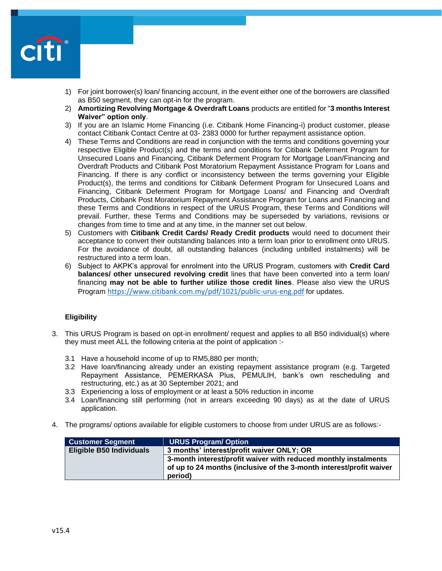

- 1) For joint borrower(s) loan/ financing account, in the event either one of the borrowers are classified as B50 segment, they can opt-in for the program.
- 2) **Amortizing Revolving Mortgage & Overdraft Loans** products are entitled for "**3 months Interest Waiver" option only**.
- 3) If you are an Islamic Home Financing (i.e. Citibank Home Financing-i) product customer, please contact Citibank Contact Centre at 03- 2383 0000 for further repayment assistance option.
- 4) These Terms and Conditions are read in conjunction with the terms and conditions governing your respective Eligible Product(s) and the terms and conditions for Citibank Deferment Program for Unsecured Loans and Financing, Citibank Deferment Program for Mortgage Loan/Financing and Overdraft Products and Citibank Post Moratorium Repayment Assistance Program for Loans and Financing. If there is any conflict or inconsistency between the terms governing your Eligible Product(s), the terms and conditions for Citibank Deferment Program for Unsecured Loans and Financing, Citibank Deferment Program for Mortgage Loans/ and Financing and Overdraft Products, Citibank Post Moratorium Repayment Assistance Program for Loans and Financing and these Terms and Conditions in respect of the URUS Program, these Terms and Conditions will prevail. Further, these Terms and Conditions may be superseded by variations, revisions or changes from time to time and at any time, in the manner set out below.
- 5) Customers with **Citibank Credit Cards/ Ready Credit products** would need to document their acceptance to convert their outstanding balances into a term loan prior to enrollment onto URUS. For the avoidance of doubt, all outstanding balances (including unbilled instalments) will be restructured into a term loan.
- 6) Subject to AKPK's approval for enrolment into the URUS Program, customers with **Credit Card balances/ other unsecured revolving credit** lines that have been converted into a term loan/ financing **may not be able to further utilize those credit lines**. Please also view the URUS Program <https://www.citibank.com.my/pdf/1021/public-urus-eng.pdf> for updates.

# **Eligibility**

- 3. This URUS Program is based on opt-in enrollment/ request and applies to all B50 individual(s) where they must meet ALL the following criteria at the point of application :-
	- 3.1 Have a household income of up to RM5,880 per month;
	- 3.2 Have loan/financing already under an existing repayment assistance program (e.g. Targeted Repayment Assistance, PEMERKASA Plus, PEMULIH, bank's own rescheduling and restructuring, etc.) as at 30 September 2021; and
	- 3.3 Experiencing a loss of employment or at least a 50% reduction in income
	- 3.4 Loan/financing still performing (not in arrears exceeding 90 days) as at the date of URUS application.
- 4. The programs/ options available for eligible customers to choose from under URUS are as follows:-

| <b>Customer Segment</b>         | <b>URUS Program/ Option</b>                                                                                                                       |
|---------------------------------|---------------------------------------------------------------------------------------------------------------------------------------------------|
| <b>Eligible B50 Individuals</b> | 3 months' interest/profit waiver ONLY; OR                                                                                                         |
|                                 | 3-month interest/profit waiver with reduced monthly instalments<br>of up to 24 months (inclusive of the 3-month interest/profit waiver<br>period) |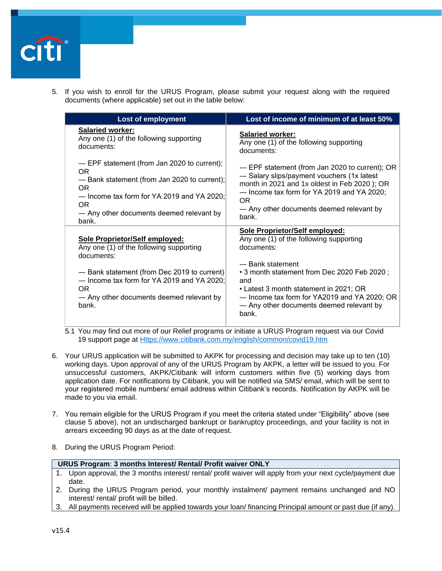

5. If you wish to enroll for the URUS Program, please submit your request along with the required documents (where applicable) set out in the table below:

| <b>Lost of employment</b>                                                                                                                                                                                                                        | Lost of income of minimum of at least 50%                                                                                                                                                                                                                                                                        |
|--------------------------------------------------------------------------------------------------------------------------------------------------------------------------------------------------------------------------------------------------|------------------------------------------------------------------------------------------------------------------------------------------------------------------------------------------------------------------------------------------------------------------------------------------------------------------|
| <b>Salaried worker:</b><br>Any one (1) of the following supporting<br>documents:                                                                                                                                                                 | <b>Salaried worker:</b><br>Any one (1) of the following supporting<br>documents:                                                                                                                                                                                                                                 |
| - EPF statement (from Jan 2020 to current);<br>OR.<br>- Bank statement (from Jan 2020 to current);<br>OR.<br>$-$ Income tax form for YA 2019 and YA 2020;<br>OR.<br>- Any other documents deemed relevant by<br>bank.                            | - EPF statement (from Jan 2020 to current); OR<br>- Salary slips/payment vouchers (1x latest<br>month in 2021 and 1x oldest in Feb 2020); OR<br>$-$ Income tax form for YA 2019 and YA 2020;<br>OR.<br>- Any other documents deemed relevant by<br>bank.                                                         |
| Sole Proprietor/Self employed:<br>Any one (1) of the following supporting<br>documents:<br>- Bank statement (from Dec 2019 to current)<br>- Income tax form for YA 2019 and YA 2020;<br>OR.<br>- Any other documents deemed relevant by<br>bank. | Sole Proprietor/Self employed:<br>Any one (1) of the following supporting<br>documents:<br>- Bank statement<br>• 3 month statement from Dec 2020 Feb 2020;<br>and<br>• Latest 3 month statement in 2021; OR<br>- Income tax form for YA2019 and YA 2020; OR<br>- Any other documents deemed relevant by<br>bank. |

- 5.1 You may find out more of our Relief programs or initiate a URUS Program request via our Covid 19 support page at [Https://www.citibank.com.my/english/common/covid19.htm](https://www.citibank.com.my/english/common/covid19.htm)
- 6. Your URUS application will be submitted to AKPK for processing and decision may take up to ten (10) working days. Upon approval of any of the URUS Program by AKPK, a letter will be issued to you. For unsuccessful customers, AKPK/Citibank will inform customers within five (5) working days from application date. For notifications by Citibank, you will be notified via SMS/ email, which will be sent to your registered mobile numbers/ email address within Citibank's records. Notification by AKPK will be made to you via email.
- 7. You remain eligible for the URUS Program if you meet the criteria stated under "Eligibility" above (see clause 5 above), not an undischarged bankrupt or bankruptcy proceedings, and your facility is not in arrears exceeding 90 days as at the date of request.
- 8. During the URUS Program Period:

### **URUS Program**: **3 months Interest/ Rental/ Profit waiver ONLY**

- 1. Upon approval, the 3 months interest/ rental/ profit waiver will apply from your next cycle/payment due date.
- 2. During the URUS Program period, your monthly instalment/ payment remains unchanged and NO interest/ rental/ profit will be billed.
- 3. All payments received will be applied towards your loan/ financing Principal amount or past due (if any).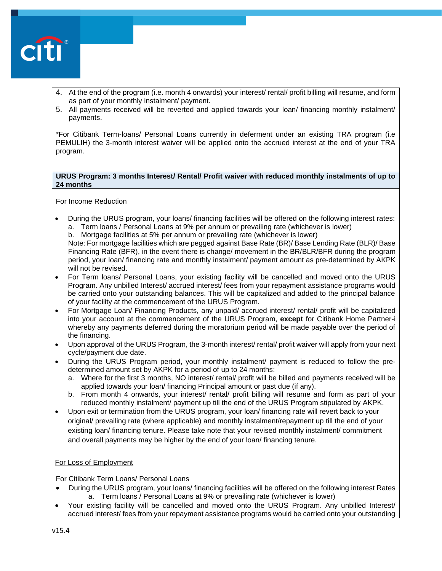

- 4. At the end of the program (i.e. month 4 onwards) your interest/ rental/ profit billing will resume, and form as part of your monthly instalment/ payment.
- 5. All payments received will be reverted and applied towards your loan/ financing monthly instalment/ payments.

\*For Citibank Term-loans/ Personal Loans currently in deferment under an existing TRA program (i.e PEMULIH) the 3-month interest waiver will be applied onto the accrued interest at the end of your TRA program.

### **URUS Program: 3 months Interest/ Rental/ Profit waiver with reduced monthly instalments of up to 24 months**

### For Income Reduction

- During the URUS program, your loans/ financing facilities will be offered on the following interest rates: a. Term loans / Personal Loans at 9% per annum or prevailing rate (whichever is lower)
	- b. Mortgage facilities at 5% per annum or prevailing rate (whichever is lower)

Note: For mortgage facilities which are pegged against Base Rate (BR)/ Base Lending Rate (BLR)/ Base Financing Rate (BFR), in the event there is change/ movement in the BR/BLR/BFR during the program period, your loan/ financing rate and monthly instalment/ payment amount as pre-determined by AKPK will not be revised.

- For Term loans/ Personal Loans, your existing facility will be cancelled and moved onto the URUS Program. Any unbilled Interest/ accrued interest/ fees from your repayment assistance programs would be carried onto your outstanding balances. This will be capitalized and added to the principal balance of your facility at the commencement of the URUS Program.
- For Mortgage Loan/ Financing Products, any unpaid/ accrued interest/ rental/ profit will be capitalized into your account at the commencement of the URUS Program, **except** for Citibank Home Partner-i whereby any payments deferred during the moratorium period will be made payable over the period of the financing.
- Upon approval of the URUS Program, the 3-month interest/ rental/ profit waiver will apply from your next cycle/payment due date.
- During the URUS Program period, your monthly instalment/ payment is reduced to follow the predetermined amount set by AKPK for a period of up to 24 months:
	- a. Where for the first 3 months, NO interest/ rental/ profit will be billed and payments received will be applied towards your loan/ financing Principal amount or past due (if any).
	- b. From month 4 onwards, your interest/ rental/ profit billing will resume and form as part of your reduced monthly instalment/ payment up till the end of the URUS Program stipulated by AKPK.
- Upon exit or termination from the URUS program, your loan/ financing rate will revert back to your original/ prevailing rate (where applicable) and monthly instalment/repayment up till the end of your existing loan/ financing tenure. Please take note that your revised monthly instalment/ commitment and overall payments may be higher by the end of your loan/ financing tenure.

#### For Loss of Employment

For Citibank Term Loans/ Personal Loans

- During the URUS program, your loans/ financing facilities will be offered on the following interest Rates a. Term loans / Personal Loans at 9% or prevailing rate (whichever is lower)
- Your existing facility will be cancelled and moved onto the URUS Program. Any unbilled Interest/ accrued interest/ fees from your repayment assistance programs would be carried onto your outstanding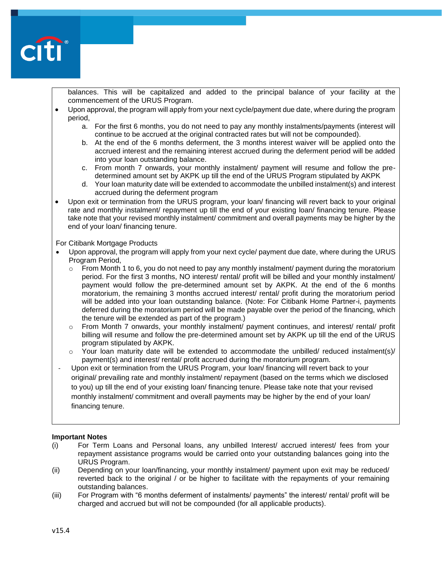

balances. This will be capitalized and added to the principal balance of your facility at the commencement of the URUS Program.

- Upon approval, the program will apply from your next cycle/payment due date, where during the program period,
	- a. For the first 6 months, you do not need to pay any monthly instalments/payments (interest will continue to be accrued at the original contracted rates but will not be compounded).
	- b. At the end of the 6 months deferment, the 3 months interest waiver will be applied onto the accrued interest and the remaining interest accrued during the deferment period will be added into your loan outstanding balance.
	- c. From month 7 onwards, your monthly instalment/ payment will resume and follow the predetermined amount set by AKPK up till the end of the URUS Program stipulated by AKPK
	- d. Your loan maturity date will be extended to accommodate the unbilled instalment(s) and interest accrued during the deferment program
- Upon exit or termination from the URUS program, your loan/ financing will revert back to your original rate and monthly instalment/ repayment up till the end of your existing loan/ financing tenure. Please take note that your revised monthly instalment/ commitment and overall payments may be higher by the end of your loan/ financing tenure.

#### For Citibank Mortgage Products

- Upon approval, the program will apply from your next cycle/ payment due date, where during the URUS Program Period,
	- $\circ$  From Month 1 to 6, you do not need to pay any monthly instalment/ payment during the moratorium period. For the first 3 months, NO interest/ rental/ profit will be billed and your monthly instalment/ payment would follow the pre-determined amount set by AKPK. At the end of the 6 months moratorium, the remaining 3 months accrued interest/ rental/ profit during the moratorium period will be added into your loan outstanding balance. (Note: For Citibank Home Partner-i, payments deferred during the moratorium period will be made payable over the period of the financing, which the tenure will be extended as part of the program.)
	- o From Month 7 onwards, your monthly instalment/ payment continues, and interest/ rental/ profit billing will resume and follow the pre-determined amount set by AKPK up till the end of the URUS program stipulated by AKPK.
	- $\circ$  Your loan maturity date will be extended to accommodate the unbilled/ reduced instalment(s)/ payment(s) and interest/ rental/ profit accrued during the moratorium program.

Upon exit or termination from the URUS Program, your loan/ financing will revert back to your original/ prevailing rate and monthly instalment/ repayment (based on the terms which we disclosed to you) up till the end of your existing loan/ financing tenure. Please take note that your revised monthly instalment/ commitment and overall payments may be higher by the end of your loan/ financing tenure.

#### **Important Notes**

- (i) For Term Loans and Personal loans, any unbilled Interest/ accrued interest/ fees from your repayment assistance programs would be carried onto your outstanding balances going into the URUS Program.
- (ii) Depending on your loan/financing, your monthly instalment/ payment upon exit may be reduced/ reverted back to the original / or be higher to facilitate with the repayments of your remaining outstanding balances.
- (iii) For Program with "6 months deferment of instalments/ payments" the interest/ rental/ profit will be charged and accrued but will not be compounded (for all applicable products).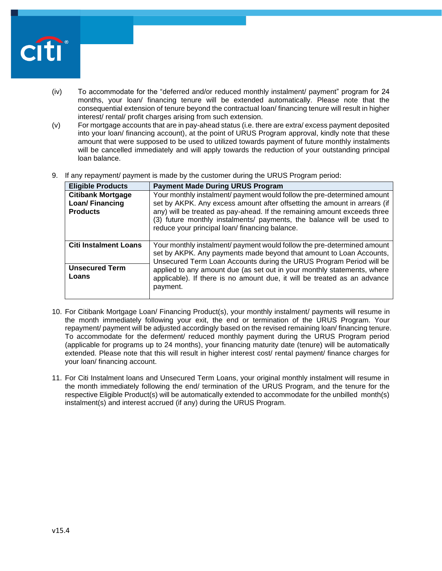

- (iv) To accommodate for the "deferred and/or reduced monthly instalment/ payment" program for 24 months, your loan/ financing tenure will be extended automatically. Please note that the consequential extension of tenure beyond the contractual loan/ financing tenure will result in higher interest/ rental/ profit charges arising from such extension.
- (v) For mortgage accounts that are in pay-ahead status (i.e. there are extra/ excess payment deposited into your loan/ financing account), at the point of URUS Program approval, kindly note that these amount that were supposed to be used to utilized towards payment of future monthly instalments will be cancelled immediately and will apply towards the reduction of your outstanding principal loan balance.
- 9. If any repayment/ payment is made by the customer during the URUS Program period:

| <b>Eligible Products</b>                                       | <b>Payment Made During URUS Program</b>                                                                                                                                                                                                                                                                                                                                                  |
|----------------------------------------------------------------|------------------------------------------------------------------------------------------------------------------------------------------------------------------------------------------------------------------------------------------------------------------------------------------------------------------------------------------------------------------------------------------|
| <b>Citibank Mortgage</b><br>Loan/Financing<br><b>Products</b>  | Your monthly instalment/ payment would follow the pre-determined amount<br>set by AKPK. Any excess amount after offsetting the amount in arrears (if<br>any) will be treated as pay-ahead. If the remaining amount exceeds three<br>(3) future monthly instalments/ payments, the balance will be used to<br>reduce your principal loan/ financing balance.                              |
| <b>Citi Instalment Loans</b><br><b>Unsecured Term</b><br>Loans | Your monthly instalment/ payment would follow the pre-determined amount<br>set by AKPK. Any payments made beyond that amount to Loan Accounts,<br>Unsecured Term Loan Accounts during the URUS Program Period will be<br>applied to any amount due (as set out in your monthly statements, where<br>applicable). If there is no amount due, it will be treated as an advance<br>payment. |

- 10. For Citibank Mortgage Loan/ Financing Product(s), your monthly instalment/ payments will resume in the month immediately following your exit, the end or termination of the URUS Program. Your repayment/ payment will be adjusted accordingly based on the revised remaining loan/ financing tenure. To accommodate for the deferment/ reduced monthly payment during the URUS Program period (applicable for programs up to 24 months), your financing maturity date (tenure) will be automatically extended. Please note that this will result in higher interest cost/ rental payment/ finance charges for your loan/ financing account.
- 11. For Citi Instalment loans and Unsecured Term Loans, your original monthly instalment will resume in the month immediately following the end/ termination of the URUS Program, and the tenure for the respective Eligible Product(s) will be automatically extended to accommodate for the unbilled month(s) instalment(s) and interest accrued (if any) during the URUS Program.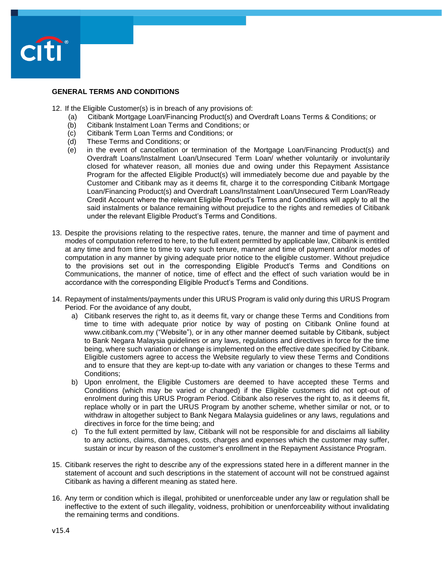

## **GENERAL TERMS AND CONDITIONS**

- 12. If the Eligible Customer(s) is in breach of any provisions of:
	- (a) Citibank Mortgage Loan/Financing Product(s) and Overdraft Loans Terms & Conditions; or
	- (b) Citibank Instalment Loan Terms and Conditions; or
	- (c) Citibank Term Loan Terms and Conditions; or
	- (d) These Terms and Conditions; or
	- (e) in the event of cancellation or termination of the Mortgage Loan/Financing Product(s) and Overdraft Loans/Instalment Loan/Unsecured Term Loan/ whether voluntarily or involuntarily closed for whatever reason, all monies due and owing under this Repayment Assistance Program for the affected Eligible Product(s) will immediately become due and payable by the Customer and Citibank may as it deems fit, charge it to the corresponding Citibank Mortgage Loan/Financing Product(s) and Overdraft Loans/Instalment Loan/Unsecured Term Loan/Ready Credit Account where the relevant Eligible Product's Terms and Conditions will apply to all the said instalments or balance remaining without prejudice to the rights and remedies of Citibank under the relevant Eligible Product's Terms and Conditions.
- 13. Despite the provisions relating to the respective rates, tenure, the manner and time of payment and modes of computation referred to here, to the full extent permitted by applicable law, Citibank is entitled at any time and from time to time to vary such tenure, manner and time of payment and/or modes of computation in any manner by giving adequate prior notice to the eligible customer. Without prejudice to the provisions set out in the corresponding Eligible Product's Terms and Conditions on Communications, the manner of notice, time of effect and the effect of such variation would be in accordance with the corresponding Eligible Product's Terms and Conditions.
- 14. Repayment of instalments/payments under this URUS Program is valid only during this URUS Program Period. For the avoidance of any doubt,
	- a) Citibank reserves the right to, as it deems fit, vary or change these Terms and Conditions from time to time with adequate prior notice by way of posting on Citibank Online found at [www.citibank.com.my](http://www.citibank.com.my/) ("Website"), or in any other manner deemed suitable by Citibank, subject to Bank Negara Malaysia guidelines or any laws, regulations and directives in force for the time being, where such variation or change is implemented on the effective date specified by Citibank. Eligible customers agree to access the Website regularly to view these Terms and Conditions and to ensure that they are kept-up to-date with any variation or changes to these Terms and Conditions;
	- b) Upon enrolment, the Eligible Customers are deemed to have accepted these Terms and Conditions (which may be varied or changed) if the Eligible customers did not opt-out of enrolment during this URUS Program Period. Citibank also reserves the right to, as it deems fit, replace wholly or in part the URUS Program by another scheme, whether similar or not, or to withdraw in altogether subject to Bank Negara Malaysia guidelines or any laws, regulations and directives in force for the time being; and
	- c) To the full extent permitted by law, Citibank will not be responsible for and disclaims all liability to any actions, claims, damages, costs, charges and expenses which the customer may suffer, sustain or incur by reason of the customer's enrollment in the Repayment Assistance Program.
- 15. Citibank reserves the right to describe any of the expressions stated here in a different manner in the statement of account and such descriptions in the statement of account will not be construed against Citibank as having a different meaning as stated here.
- 16. Any term or condition which is illegal, prohibited or unenforceable under any law or regulation shall be ineffective to the extent of such illegality, voidness, prohibition or unenforceability without invalidating the remaining terms and conditions.